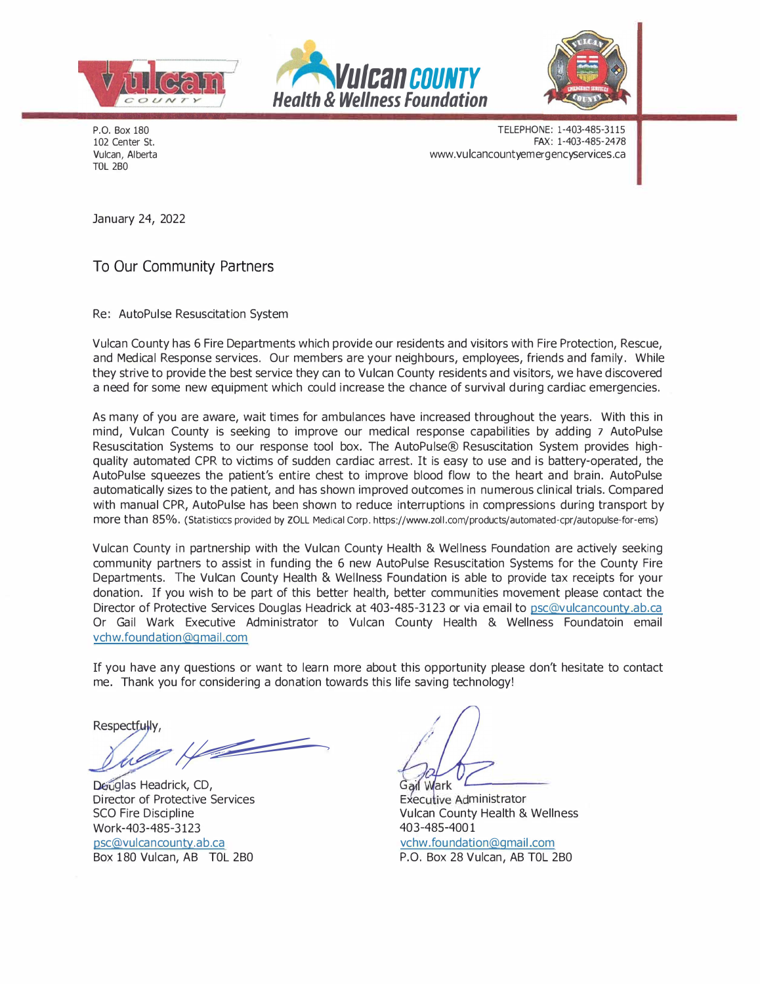





P.O. Box 180 102 Center St. Vulcan, Alberta TOL 2B0

TELEPHONE: 1-403-485-3115 FAX: 1-403-485-2478 www.vulcancountyemergencyservices.ca

January 24, 2022

To Our Community Partners

Re: AutoPulse Resuscitation System

Vulcan County has 6 Fire Departments which provide our residents and visitors with Fire Protection, Rescue, and Medical Response services. Our members are your neighbours, employees, friends and family. While they strive to provide the best service they can to Vulcan County residents and visitors, we have discovered a need for some new equipment which could increase the chance of survival during cardiac emergencies.

As many of you are aware, wait times for ambulances have increased throughout the years. With this in mind, Vulcan County is seeking to improve our medical response capabilities by adding 7 AutoPulse Resuscitation Systems to our response tool box. The AutoPulse® Resuscitation System provides highquality automated CPR to victims of sudden cardiac arrest. It is easy to use and is battery-operated, the AutoPulse squeezes the patient's entire chest to improve blood flow to the heart and brain. AutoPulse automatically sizes to the patient, and has shown improved outcomes in numerous clinical trials. Compared with manual CPR, AutoPulse has been shown to reduce interruptions in compressions during transport by more than 85%. (Statisticcs provided by ZOLL Medical Corp. https://www.zoll.com/products/automated-cpr/autopulse-for-ems)

Vulcan County in partnership with the Vulcan County Health & Wellness Foundation are actively seeking community partners to assist in funding the 6 new AutoPulse Resuscitation Systems for the County Fire Departments. The Vulcan County Health & Wellness Foundation is able to provide tax receipts for your donation. If you wish to be part of this better health, better communities movement please contact the Director of Protective Services Douglas Headrick at 403-485-3123 or via email to psc@vulcancounty.ab.ca Or Gail Wark Executive Administrator to Vulcan County Health & Wellness Foundatoin email vchw.foundation@gmail.com

If you have any questions or want to learn more about this opportunity please don't hesitate to contact me. Thank you for considering a donation towards this life saving technology!

**Respectfully** 

<u>and the second second second second second second second second second second second second second second second second second second second second second second second second second second second second second second sec</u>

Deuglas Headrick, CD, Director of Protective Services SCO Fire Discipline Work-403-485-3123

psc@vulcancounty.ab.ca Box 180 Vulcan, AB T0L 2B0

Gail Wark

Executive Administrator Vulcan County Health & Wellness 403-485-4001

vchw.foundation@gmail.com P.O. Box 28 Vulcan, AB T0L 2B0